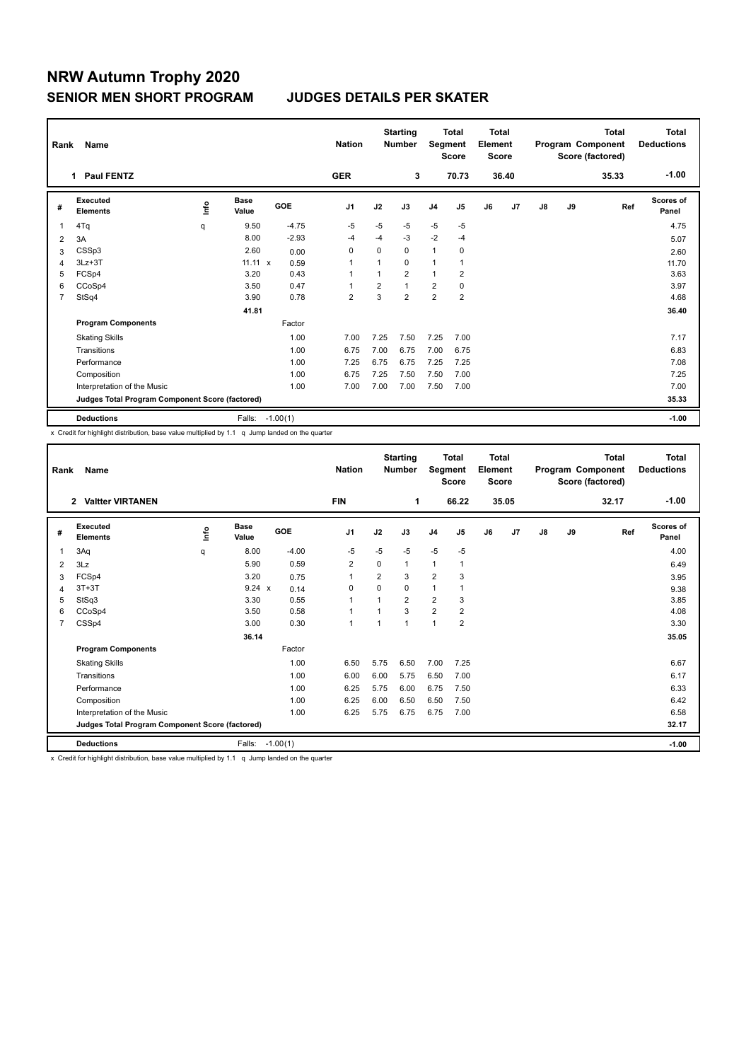# **NRW Autumn Trophy 2020 SENIOR MEN SHORT PROGRAM JUDGES DETAILS PER SKATER**

| Rank           | Name                                            |      |                      |                 | <b>Nation</b>  |          | <b>Starting</b><br><b>Number</b> | Segment        | <b>Total</b><br><b>Score</b> | <b>Total</b><br>Element<br><b>Score</b> |       |    |    | Total<br>Program Component<br>Score (factored) | <b>Total</b><br><b>Deductions</b> |
|----------------|-------------------------------------------------|------|----------------------|-----------------|----------------|----------|----------------------------------|----------------|------------------------------|-----------------------------------------|-------|----|----|------------------------------------------------|-----------------------------------|
|                | 1 Paul FENTZ                                    |      |                      |                 | <b>GER</b>     |          | 3                                |                | 70.73                        |                                         | 36.40 |    |    | 35.33                                          | $-1.00$                           |
| #              | Executed<br><b>Elements</b>                     | ١nf٥ | <b>Base</b><br>Value | GOE             | J <sub>1</sub> | J2       | J3                               | J <sub>4</sub> | J5                           | J6                                      | J7    | J8 | J9 | Ref                                            | <b>Scores of</b><br>Panel         |
| 1              | 4Tq                                             | q    | 9.50                 | $-4.75$         | $-5$           | $-5$     | $-5$                             | $-5$           | $-5$                         |                                         |       |    |    |                                                | 4.75                              |
| 2              | 3A                                              |      | 8.00                 | $-2.93$         | -4             | $-4$     | $-3$                             | $-2$           | $-4$                         |                                         |       |    |    |                                                | 5.07                              |
| 3              | CSSp3                                           |      | 2.60                 | 0.00            | 0              | $\Omega$ | 0                                | $\mathbf{1}$   | 0                            |                                         |       |    |    |                                                | 2.60                              |
| 4              | $3Lz + 3T$                                      |      | $11.11 \times$       | 0.59            | -1             |          | 0                                | $\mathbf{1}$   | 1                            |                                         |       |    |    |                                                | 11.70                             |
| 5              | FCSp4                                           |      | 3.20                 | 0.43            | 1              |          | $\overline{2}$                   | $\mathbf{1}$   | $\overline{2}$               |                                         |       |    |    |                                                | 3.63                              |
| 6              | CCoSp4                                          |      | 3.50                 | 0.47            | 1              | 2        | $\mathbf{1}$                     | $\overline{2}$ | 0                            |                                         |       |    |    |                                                | 3.97                              |
| $\overline{7}$ | StSq4                                           |      | 3.90                 | 0.78            | $\overline{2}$ | 3        | $\overline{2}$                   | $\overline{2}$ | 2                            |                                         |       |    |    |                                                | 4.68                              |
|                |                                                 |      | 41.81                |                 |                |          |                                  |                |                              |                                         |       |    |    |                                                | 36.40                             |
|                | <b>Program Components</b>                       |      |                      | Factor          |                |          |                                  |                |                              |                                         |       |    |    |                                                |                                   |
|                | <b>Skating Skills</b>                           |      |                      | 1.00            | 7.00           | 7.25     | 7.50                             | 7.25           | 7.00                         |                                         |       |    |    |                                                | 7.17                              |
|                | Transitions                                     |      |                      | 1.00            | 6.75           | 7.00     | 6.75                             | 7.00           | 6.75                         |                                         |       |    |    |                                                | 6.83                              |
|                | Performance                                     |      |                      | 1.00            | 7.25           | 6.75     | 6.75                             | 7.25           | 7.25                         |                                         |       |    |    |                                                | 7.08                              |
|                | Composition                                     |      |                      | 1.00            | 6.75           | 7.25     | 7.50                             | 7.50           | 7.00                         |                                         |       |    |    |                                                | 7.25                              |
|                | Interpretation of the Music                     |      |                      | 1.00            | 7.00           | 7.00     | 7.00                             | 7.50           | 7.00                         |                                         |       |    |    |                                                | 7.00                              |
|                | Judges Total Program Component Score (factored) |      |                      |                 |                |          |                                  |                |                              |                                         |       |    |    |                                                | 35.33                             |
|                | <b>Deductions</b>                               |      |                      | Falls: -1.00(1) |                |          |                                  |                |                              |                                         |       |    |    |                                                | $-1.00$                           |

x Credit for highlight distribution, base value multiplied by 1.1 q Jump landed on the quarter

| Rank           | Name                                            |             |                      |            | <b>Nation</b>  |                | <b>Starting</b><br><b>Number</b> |                | <b>Total</b><br>Segment<br><b>Score</b> |    | <b>Total</b><br>Element<br><b>Score</b> |    |    | <b>Total</b><br>Program Component<br>Score (factored) | <b>Total</b><br><b>Deductions</b> |
|----------------|-------------------------------------------------|-------------|----------------------|------------|----------------|----------------|----------------------------------|----------------|-----------------------------------------|----|-----------------------------------------|----|----|-------------------------------------------------------|-----------------------------------|
|                | <b>Valtter VIRTANEN</b><br>$\mathbf{2}$         |             |                      |            | <b>FIN</b>     |                | 1                                |                | 66.22                                   |    | 35.05                                   |    |    | 32.17                                                 | $-1.00$                           |
| #              | Executed<br><b>Elements</b>                     | <u>info</u> | <b>Base</b><br>Value | GOE        | J <sub>1</sub> | J2             | J3                               | J <sub>4</sub> | J5                                      | J6 | J7                                      | J8 | J9 | Ref                                                   | <b>Scores of</b><br>Panel         |
| 1              | 3Aq                                             | q           | 8.00                 | $-4.00$    | -5             | $-5$           | $-5$                             | $-5$           | $-5$                                    |    |                                         |    |    |                                                       | 4.00                              |
| 2              | 3Lz                                             |             | 5.90                 | 0.59       | 2              | 0              | 1                                | $\mathbf{1}$   | 1                                       |    |                                         |    |    |                                                       | 6.49                              |
| 3              | FCSp4                                           |             | 3.20                 | 0.75       | 1              | 2              | 3                                | $\overline{2}$ | 3                                       |    |                                         |    |    |                                                       | 3.95                              |
| 4              | $3T+3T$                                         |             | $9.24 \times$        | 0.14       | $\mathbf 0$    | $\Omega$       | 0                                | $\overline{1}$ |                                         |    |                                         |    |    |                                                       | 9.38                              |
| 5              | StSq3                                           |             | 3.30                 | 0.55       | $\mathbf{1}$   |                | $\overline{2}$                   | $\overline{2}$ | 3                                       |    |                                         |    |    |                                                       | 3.85                              |
| 6              | CCoSp4                                          |             | 3.50                 | 0.58       | $\mathbf{1}$   |                | 3                                | $\overline{2}$ | 2                                       |    |                                         |    |    |                                                       | 4.08                              |
| $\overline{7}$ | CSSp4                                           |             | 3.00                 | 0.30       | $\mathbf{1}$   | $\overline{1}$ | 1                                | $\mathbf{1}$   | 2                                       |    |                                         |    |    |                                                       | 3.30                              |
|                |                                                 |             | 36.14                |            |                |                |                                  |                |                                         |    |                                         |    |    |                                                       | 35.05                             |
|                | <b>Program Components</b>                       |             |                      | Factor     |                |                |                                  |                |                                         |    |                                         |    |    |                                                       |                                   |
|                | <b>Skating Skills</b>                           |             |                      | 1.00       | 6.50           | 5.75           | 6.50                             | 7.00           | 7.25                                    |    |                                         |    |    |                                                       | 6.67                              |
|                | Transitions                                     |             |                      | 1.00       | 6.00           | 6.00           | 5.75                             | 6.50           | 7.00                                    |    |                                         |    |    |                                                       | 6.17                              |
|                | Performance                                     |             |                      | 1.00       | 6.25           | 5.75           | 6.00                             | 6.75           | 7.50                                    |    |                                         |    |    |                                                       | 6.33                              |
|                | Composition                                     |             |                      | 1.00       | 6.25           | 6.00           | 6.50                             | 6.50           | 7.50                                    |    |                                         |    |    |                                                       | 6.42                              |
|                | Interpretation of the Music                     |             |                      | 1.00       | 6.25           | 5.75           | 6.75                             | 6.75           | 7.00                                    |    |                                         |    |    |                                                       | 6.58                              |
|                | Judges Total Program Component Score (factored) |             |                      |            |                |                |                                  |                |                                         |    |                                         |    |    |                                                       | 32.17                             |
|                | <b>Deductions</b>                               |             | Falls:               | $-1.00(1)$ |                |                |                                  |                |                                         |    |                                         |    |    |                                                       | $-1.00$                           |
|                |                                                 | .           |                      |            |                |                |                                  |                |                                         |    |                                         |    |    |                                                       |                                   |

x Credit for highlight distribution, base value multiplied by 1.1 q Jump landed on the quarter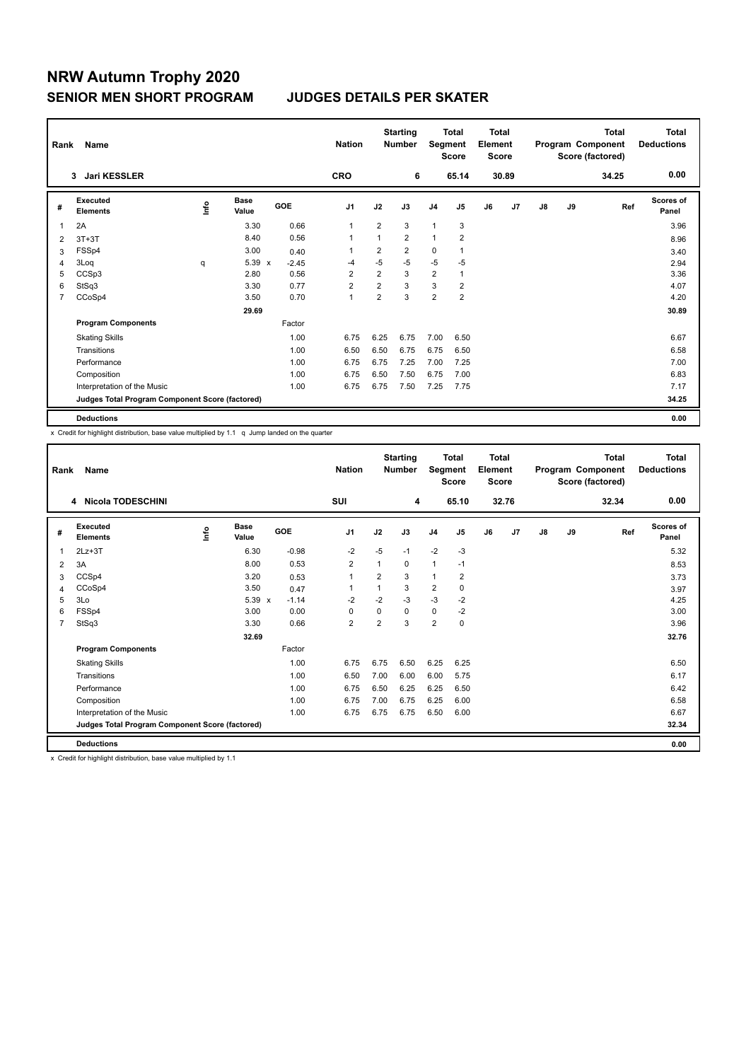# **NRW Autumn Trophy 2020 SENIOR MEN SHORT PROGRAM JUDGES DETAILS PER SKATER**

| Rank           | Name                                            |      |                      |         | <b>Nation</b>  |                | <b>Starting</b><br><b>Number</b> | Segment        | Total<br><b>Score</b> | <b>Total</b><br>Element<br><b>Score</b> |                |    |    | <b>Total</b><br>Program Component<br>Score (factored) | <b>Total</b><br><b>Deductions</b> |
|----------------|-------------------------------------------------|------|----------------------|---------|----------------|----------------|----------------------------------|----------------|-----------------------|-----------------------------------------|----------------|----|----|-------------------------------------------------------|-----------------------------------|
|                | <b>Jari KESSLER</b><br>3                        |      |                      |         | <b>CRO</b>     |                | 6                                |                | 65.14                 |                                         | 30.89          |    |    | 34.25                                                 | 0.00                              |
| #              | Executed<br><b>Elements</b>                     | lnfo | <b>Base</b><br>Value | GOE     | J <sub>1</sub> | J2             | J3                               | J <sub>4</sub> | J <sub>5</sub>        | J6                                      | J <sub>7</sub> | J8 | J9 | Ref                                                   | <b>Scores of</b><br>Panel         |
| 1              | 2A                                              |      | 3.30                 | 0.66    | $\overline{1}$ | $\overline{2}$ | 3                                | 1              | 3                     |                                         |                |    |    |                                                       | 3.96                              |
| 2              | $3T+3T$                                         |      | 8.40                 | 0.56    | $\overline{1}$ | 1              | $\overline{2}$                   | $\mathbf{1}$   | $\overline{2}$        |                                         |                |    |    |                                                       | 8.96                              |
| 3              | FSSp4                                           |      | 3.00                 | 0.40    | 1              | 2              | $\overline{2}$                   | 0              | 1                     |                                         |                |    |    |                                                       | 3.40                              |
| 4              | 3Loq                                            | q    | $5.39 \times$        | $-2.45$ | -4             | $-5$           | $-5$                             | $-5$           | $-5$                  |                                         |                |    |    |                                                       | 2.94                              |
| 5              | CCSp3                                           |      | 2.80                 | 0.56    | $\overline{2}$ | $\overline{2}$ | 3                                | $\overline{2}$ | $\mathbf{1}$          |                                         |                |    |    |                                                       | 3.36                              |
| 6              | StSq3                                           |      | 3.30                 | 0.77    | $\overline{2}$ | $\overline{2}$ | 3                                | 3              | $\overline{2}$        |                                         |                |    |    |                                                       | 4.07                              |
| $\overline{7}$ | CCoSp4                                          |      | 3.50                 | 0.70    | $\overline{1}$ | $\overline{2}$ | 3                                | $\overline{2}$ | $\overline{2}$        |                                         |                |    |    |                                                       | 4.20                              |
|                |                                                 |      | 29.69                |         |                |                |                                  |                |                       |                                         |                |    |    |                                                       | 30.89                             |
|                | <b>Program Components</b>                       |      |                      | Factor  |                |                |                                  |                |                       |                                         |                |    |    |                                                       |                                   |
|                | <b>Skating Skills</b>                           |      |                      | 1.00    | 6.75           | 6.25           | 6.75                             | 7.00           | 6.50                  |                                         |                |    |    |                                                       | 6.67                              |
|                | Transitions                                     |      |                      | 1.00    | 6.50           | 6.50           | 6.75                             | 6.75           | 6.50                  |                                         |                |    |    |                                                       | 6.58                              |
|                | Performance                                     |      |                      | 1.00    | 6.75           | 6.75           | 7.25                             | 7.00           | 7.25                  |                                         |                |    |    |                                                       | 7.00                              |
|                | Composition                                     |      |                      | 1.00    | 6.75           | 6.50           | 7.50                             | 6.75           | 7.00                  |                                         |                |    |    |                                                       | 6.83                              |
|                | Interpretation of the Music                     |      |                      | 1.00    | 6.75           | 6.75           | 7.50                             | 7.25           | 7.75                  |                                         |                |    |    |                                                       | 7.17                              |
|                | Judges Total Program Component Score (factored) |      |                      |         |                |                |                                  |                |                       |                                         |                |    |    |                                                       | 34.25                             |
|                | <b>Deductions</b>                               |      |                      |         |                |                |                                  |                |                       |                                         |                |    |    |                                                       | 0.00                              |

x Credit for highlight distribution, base value multiplied by 1.1 q Jump landed on the quarter

| Rank           | Name                                            |    |                      |                         |                |                | <b>Starting</b><br><b>Number</b> |                | Total<br>Segment<br><b>Score</b> | <b>Total</b><br>Element<br><b>Score</b> |       | Program Component |    | <b>Total</b><br>Score (factored) | Total<br><b>Deductions</b> |
|----------------|-------------------------------------------------|----|----------------------|-------------------------|----------------|----------------|----------------------------------|----------------|----------------------------------|-----------------------------------------|-------|-------------------|----|----------------------------------|----------------------------|
|                | Nicola TODESCHINI<br>4                          |    |                      |                         | <b>SUI</b>     |                | 4                                |                | 65.10                            |                                         | 32.76 |                   |    | 32.34                            | 0.00                       |
| #              | Executed<br><b>Elements</b>                     | ۴٥ | <b>Base</b><br>Value | GOE                     | J <sub>1</sub> | J2             | J3                               | J <sub>4</sub> | J <sub>5</sub>                   | J6                                      | J7    | J8                | J9 | Ref                              | <b>Scores of</b><br>Panel  |
| 1              | $2Lz + 3T$                                      |    | 6.30                 | $-0.98$                 | $-2$           | $-5$           | $-1$                             | $-2$           | $-3$                             |                                         |       |                   |    |                                  | 5.32                       |
| 2              | 3A                                              |    | 8.00                 | 0.53                    | $\overline{2}$ | 1              | 0                                | $\mathbf{1}$   | $-1$                             |                                         |       |                   |    |                                  | 8.53                       |
| 3              | CCSp4                                           |    | 3.20                 | 0.53                    | 1              | $\overline{2}$ | 3                                | $\mathbf{1}$   | $\overline{2}$                   |                                         |       |                   |    |                                  | 3.73                       |
| 4              | CCoSp4                                          |    | 3.50                 | 0.47                    | 1              |                | 3                                | $\overline{2}$ | 0                                |                                         |       |                   |    |                                  | 3.97                       |
| 5              | 3Lo                                             |    | 5.39                 | $-1.14$<br>$\mathbf{x}$ | $-2$           | $-2$           | $-3$                             | $-3$           | $-2$                             |                                         |       |                   |    |                                  | 4.25                       |
| 6              | FSSp4                                           |    | 3.00                 | 0.00                    | 0              | $\Omega$       | 0                                | $\mathbf 0$    | $-2$                             |                                         |       |                   |    |                                  | 3.00                       |
| $\overline{7}$ | StSq3                                           |    | 3.30                 | 0.66                    | $\overline{2}$ | $\overline{2}$ | 3                                | $\overline{2}$ | 0                                |                                         |       |                   |    |                                  | 3.96                       |
|                |                                                 |    | 32.69                |                         |                |                |                                  |                |                                  |                                         |       |                   |    |                                  | 32.76                      |
|                | <b>Program Components</b>                       |    |                      | Factor                  |                |                |                                  |                |                                  |                                         |       |                   |    |                                  |                            |
|                | <b>Skating Skills</b>                           |    |                      | 1.00                    | 6.75           | 6.75           | 6.50                             | 6.25           | 6.25                             |                                         |       |                   |    |                                  | 6.50                       |
|                | Transitions                                     |    |                      | 1.00                    | 6.50           | 7.00           | 6.00                             | 6.00           | 5.75                             |                                         |       |                   |    |                                  | 6.17                       |
|                | Performance                                     |    |                      | 1.00                    | 6.75           | 6.50           | 6.25                             | 6.25           | 6.50                             |                                         |       |                   |    |                                  | 6.42                       |
|                | Composition                                     |    |                      | 1.00                    | 6.75           | 7.00           | 6.75                             | 6.25           | 6.00                             |                                         |       |                   |    |                                  | 6.58                       |
|                | Interpretation of the Music                     |    |                      | 1.00                    | 6.75           | 6.75           | 6.75                             | 6.50           | 6.00                             |                                         |       |                   |    |                                  | 6.67                       |
|                | Judges Total Program Component Score (factored) |    |                      |                         |                |                |                                  |                |                                  |                                         |       |                   |    |                                  | 32.34                      |
|                | <b>Deductions</b>                               |    |                      |                         |                |                |                                  |                |                                  |                                         |       |                   |    |                                  | 0.00                       |

x Credit for highlight distribution, base value multiplied by 1.1